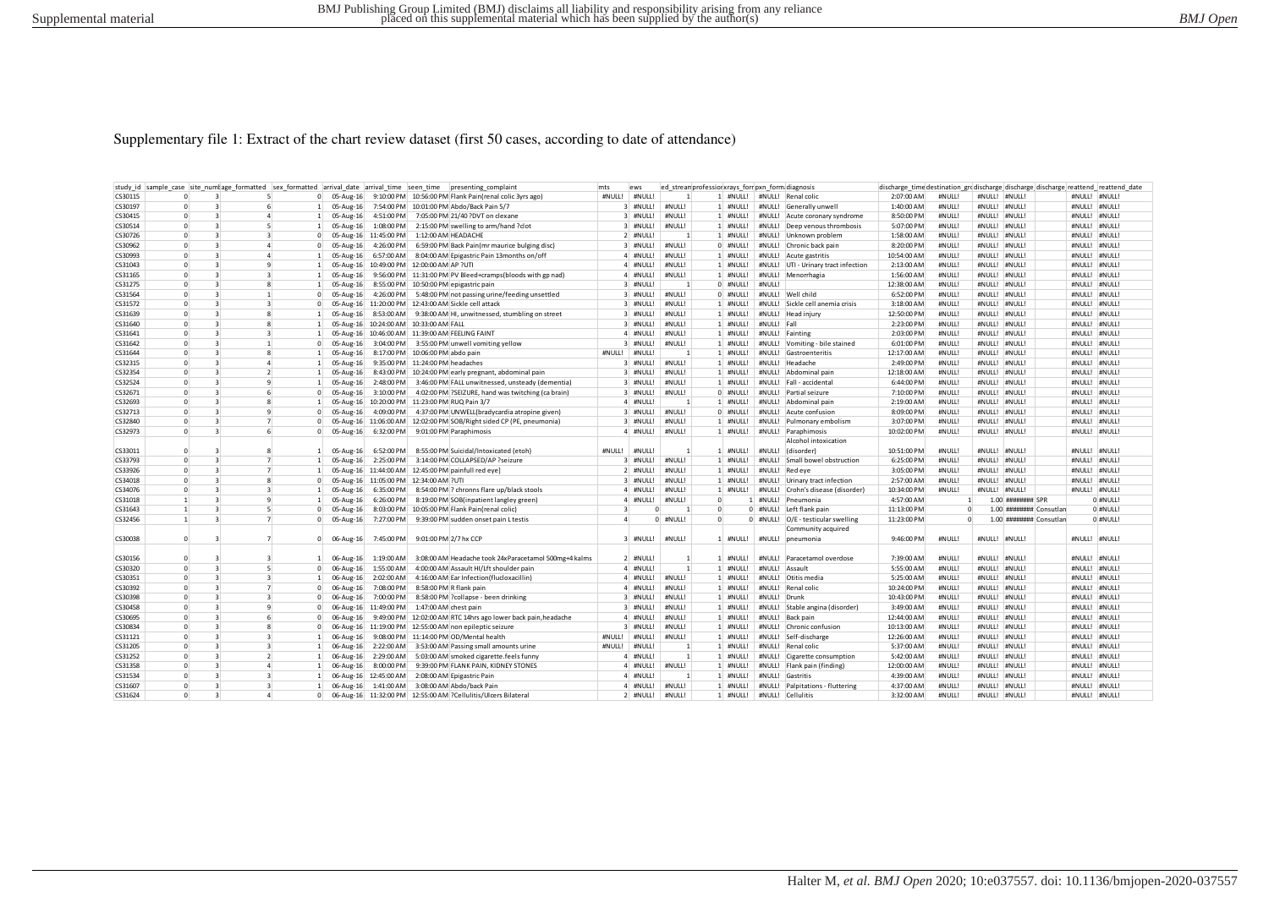#### Supplementary file 1: Extract of the chart review dataset (first 50 cases, according to date of attendance)

| study id sample case site numlage formatted sex formatted arrival date arrival time seen time |                |                                |                          |                |                |               |                       | presenting complaint                                                 | mts<br>ews               |                | ed streamprofession xrays for pxn form diagnosis |          |                                      | discharge time destination grodischarge discharge discharge reattend reattend date |                |               |                     |                         |               |               |
|-----------------------------------------------------------------------------------------------|----------------|--------------------------------|--------------------------|----------------|----------------|---------------|-----------------------|----------------------------------------------------------------------|--------------------------|----------------|--------------------------------------------------|----------|--------------------------------------|------------------------------------------------------------------------------------|----------------|---------------|---------------------|-------------------------|---------------|---------------|
| CS30115                                                                                       | $\Omega$       | 3                              | 5                        |                | $\mathbf{0}$   |               |                       | 05-Aug-16 9:10:00 PM 10:56:00 PM Flank Pain(renal colic 3vrs ago)    | #NULL!<br>#NULL!         |                |                                                  |          | 1 #NULL! #NULL! Renal colic          | 2:07:00 AM                                                                         | #NULL          | #NULL! #NULL! |                     |                         | #NULL! #NULL! |               |
| CS30197                                                                                       | $\Omega$       | $\overline{3}$                 | $6 \overline{6}$         |                |                | 1 05-Aug-16   |                       | 7:54:00 PM 10:01:00 PM Abdo/Back Pain 5/7                            | 3 #NULL!                 | #NULL!         | 1 #NULL!                                         |          | #NULL! Generally unwell              | 1:40:00 AM                                                                         | #NULL          | #NULL!        | #NULL!              |                         | #NULL! #NULL! |               |
| CS30415                                                                                       | $\Omega$       | $\overline{\mathbf{3}}$        |                          | $\overline{a}$ |                | 1 05-Aug-16   | 4:51:00 PM            | 7:05:00 PM 21/40 ?DVT on clexane                                     | 3 #NULL!                 | #NULL!         | 1 #NULL!                                         |          | #NULL! Acute coronary syndrome       | 8:50:00 PM                                                                         | #NULL!         | #NULL!        | H N U H             |                         |               | #NULL! #NULL! |
| CS30514                                                                                       | $\Omega$       | $\overline{z}$                 | $\overline{\phantom{a}}$ |                | $\mathbf{1}$   | 05-Aug-16     | 1:08:00 PM            | 2:15:00 PM swelling to arm/hand ?clot                                | 3 #NULL!                 | #NULL!         | 1 #NULL!                                         |          | #NULL! Deep venous thrombosis        | 5:07:00 PM                                                                         | #NULL!         | #NULL!        | #NULL!              |                         | #NULL! #NULL! |               |
| CS30726                                                                                       | $\Omega$       | $\overline{3}$                 | $\overline{3}$           |                | $\mathbf{0}$   |               | 05-Aug-16 11:45:00 PM | 1:12:00 AM HEADACHE                                                  | 2 #NULL                  |                | 1 #NULL!                                         |          | #NULL! Unknown problem               | 1:58:00 AM                                                                         | #NULL          | #NULL!        | #NULL!              |                         |               | #NULL! #NULL! |
| CS30962                                                                                       | $\Omega$       | $\overline{3}$                 | $\Delta$                 |                |                | 0 05-Aug-16   | 4:26:00 PM            | 6:59:00 PM Back Pain(mr maurice bulging disc)                        | 3 #NULL!                 | #NULL!         | 0 #NULL!                                         |          | #NULL! Chronic back pain             | 8:20:00 PM                                                                         | #NULL!         | #NULL!        | #NULL!              |                         |               | #NULL! #NULL! |
| CS30993                                                                                       | $\Omega$       | $\overline{3}$                 |                          |                | $\mathbf{1}$   | 05-Aug-16     |                       | 6:57:00 AM 8:04:00 AM Epigastric Pain 13months on/off                | $4$ #NUUI                | #NULLI         | 1 #NULL!                                         |          | #NULL! Acute gastritis               | 10:54:00 AM                                                                        | #NULL          | #NULL!        | $H N$ <sub>UI</sub> |                         | #NULL! #NULL! |               |
| CS31043                                                                                       | $\Omega$       | $\overline{\mathbf{3}}$        |                          | $\mathbf{q}$   | 1              |               |                       | 05-Aug-16 10:49:00 PM 12:00:00 AM AP ?UTI                            | 4 #NULL!                 | #NULL!         | 1 #NULL!                                         |          | #NULL! UTI - Urinary tract infection | 2:13:00 AM                                                                         | #NULL          | #NULL!        | #NULL!              |                         |               | #NULL! #NULL! |
| CS31165                                                                                       | $\Omega$       | $\overline{\mathbf{3}}$        | $\overline{3}$           |                | $\overline{1}$ | 05-Aug-16     |                       | 9:56:00 PM 11:31:00 PM PV Bleed+cramps(bloods with gp nad)           | $4$ #NUILL               | #NULL!         | 1 #NULL!                                         | #NULL!   | Menorrhagia                          | 1:56:00 AM                                                                         | #NULL          | #NULL!        | H N U U             |                         | #NULL! #NULL! |               |
| CS31275                                                                                       | $\Omega$       | $\mathbf{R}$                   | 8                        |                | $\mathbf{1}$   | 05-Aug-16     |                       | 8:55:00 PM 10:50:00 PM epigastric pair                               | 3 #NULL                  |                | 0 #NULL!                                         | #NULL    |                                      | 12:38:00 AM                                                                        | #NULL          | #NULL!        | #NULL!              |                         |               | #NULL! #NULL! |
| CS31564                                                                                       | $\Omega$       | $\mathbf{3}$                   | $\mathbf{1}$             |                | $\overline{0}$ | 05-Aug-16     |                       | 4:26:00 PM 5:48:00 PM not passing urine/feeding unsettled            | 3 #NULL!                 | #NULL!         | 0 #NULL!                                         |          | #NULL! Well child                    | 6:52:00 PM                                                                         | #NULL          | #NULL! #NULL! |                     |                         | #NULL! #NULL! |               |
| CS31572                                                                                       | $\Omega$       | $\overline{3}$                 | $\overline{3}$           |                | $^{\circ}$     |               |                       | 05-Aug-16 11:20:00 PM 12:43:00 AM Sickle cell attack                 | 3 #NULL!                 | #NULL!         | 1 #NULL!                                         |          | #NULL! Sickle cell anemia crisis     | 3:18:00 AM                                                                         | #NULL          | #NULL!        | #NULL!              |                         | #NULL! #NULL! |               |
| CS31639                                                                                       | $\Omega$       | $\overline{3}$                 | 8                        |                | $\mathbf{1}$   | 05-Aug-16     |                       | 8:53:00 AM 9:38:00 AM HI, unwitnessed, stumbling on street           | 3 #NULL!                 | #NULL!         | 1 #NULL!                                         |          | #NULL! Head injury                   | 12:50:00 PM                                                                        | #NULL          | #NULL!        | #NULL!              |                         | #NULL! #NULL! |               |
|                                                                                               | $\Omega$       | $\mathbf{R}$                   | $\mathbf{R}$             |                | $\mathbf{1}$   |               |                       |                                                                      | 3 #NULL!                 |                |                                                  | #NULL!   | Fall                                 |                                                                                    | #NULL          | #NULL!        | #NULL!              |                         |               |               |
| CS31640                                                                                       | $\Omega$       | $\overline{\mathbf{3}}$        | $\overline{3}$           |                | $\mathbf{1}$   |               |                       | 05-Aug-16 10:24:00 AM 10:33:00 AM FALL                               | 4 #NULL!                 | #NULL!         | 1 #NULL!                                         |          |                                      | 2:23:00 PM                                                                         |                |               | #NULL!              |                         | #NULL! #NULL! | #NULL! #NULL! |
| CS31641                                                                                       | $\Omega$       | $\overline{3}$                 | $\overline{1}$           |                |                |               |                       | 05-Aug-16 10:46:00 AM 11:39:00 AM FEELING FAINT                      |                          | #NULL!         | 1 #NULL!                                         |          | #NULL! Fainting                      | 2:03:00 PM                                                                         | #NULL<br>#NULL | #NULL!        |                     |                         |               |               |
| CS31642                                                                                       | $\Omega$       |                                | $\mathbf{R}$             |                | $\overline{0}$ | 05-Aug-16     |                       | 3:04:00 PM 3:55:00 PM unwell vomiting yellow                         | 3 #NULL!                 | #NULL!         | 1 #NULL!                                         |          | #NULL! Vomiting - bile stained       | 6:01:00 PM                                                                         |                | #NULL!        | #NULL!              |                         |               | #NULL! #NULL! |
| CS31644                                                                                       |                | $\overline{3}$<br>$\mathbf{R}$ | $\Delta$                 |                | $\mathbf{1}$   | 05-Aug-16     |                       | 8:17:00 PM 10:06:00 PM abdo pain                                     | #NULL!<br>#NULL          |                | 1 #NULL!                                         | #NULL!   | Gastroenteritis                      | 12:17:00 AM                                                                        | #NULL          | #NULL!        | #NULL!              |                         | #NULL! #NULL! |               |
| CS32315                                                                                       | $\Omega$       |                                |                          |                |                | 1 05-Aug-16   |                       | 9:35:00 PM 11:24:00 PM headaches                                     | 3 #NULL!                 | #NULL!         | 1 #NULL!                                         | #NULL!   | Headache                             | 2:49:00 PM                                                                         | #NULL          | #NULL!        | #NULL!              |                         | #NULL! #NULL! |               |
| CS32354                                                                                       | $\Omega$       | $\mathbf{R}$                   | $\overline{ }$           |                | $\mathbf{1}$   | 05-Aug-16     |                       | 8:43:00 PM 10:24:00 PM early pregnant, abdominal pain                | 3 #NULL!                 | #NULL!         | 1 #NULL!                                         |          | #NULL! Abdominal pain                | 12:18:00 AM                                                                        | #NULL          | #NULL!        | #NULL!              |                         | #NULL! #NULL! |               |
| CS32524                                                                                       | $\Omega$       | $\overline{3}$                 | $\mathbf{q}$             |                | $\mathbf{1}$   | 05-Aug-16     |                       | 2:48:00 PM 3:46:00 PM FALL unwitnessed, unsteady (dementia)          | 3 #NULL!                 | #NULL!         | 1 #NULL!                                         |          | #NULL! Fall - accidental             | 6:44:00 PM                                                                         | #NULL          | #NULL!        | #NULL!              |                         |               | #NULL! #NULL! |
| CS32671                                                                                       | $\Omega$       | $\overline{\mathbf{z}}$        | 6                        |                |                | 0 05-Aug-16   |                       | 3:10:00 PM 4:02:00 PM ?SEIZURE, hand was twitching (ca brain)        | 3 #NULL!                 | #NULL!         | 0 #NULL!                                         |          | #NULL! Partial seizure               | 7:10:00 PM                                                                         | #NULL          | #NULL!        | #NULL!              |                         |               | #NULL! #NULL! |
| CS32693                                                                                       | $\Omega$       | $\overline{3}$                 | 8                        |                | $\mathbf{1}$   |               |                       | 05-Aug-16 10:20:00 PM 11:23:00 PM RUQ Pain 3/7                       | 4 #NULL!                 |                | 1 #NULL!                                         | #NULL!   | Abdominal pain                       | 2:19:00 AM                                                                         | #NULL          | #NULL!        | #NULL!              |                         |               | #NULL! #NULL! |
| CS32713                                                                                       | $\Omega$       | $\overline{\mathbf{3}}$        |                          | $\mathbf{q}$   | $\circ$        | 05-Aug-16     |                       | 4:09:00 PM 4:37:00 PM UNWELL(bradycardia atropine given)             | 3 #NULL!                 | #NULL!         | 0 #NULL!                                         |          | #NULL! Acute confusion               | 8:09:00 PM                                                                         | #NULL          | #NULL!        | #NULL!              |                         |               | #NULL! #NULL! |
| CS32840                                                                                       | $\Omega$       | $\overline{\mathbf{3}}$        | $\overline{7}$           |                | $\mathbf{0}$   |               |                       | 05-Aug-16 11:06:00 AM 12:02:00 PM SOB/Right sided CP (PE, pneumonia) | 3 #NULL!                 | #NULL!         | 1 #NULL!                                         |          | #NULL! Pulmonary embolism            | 3:07:00 PM                                                                         | #NULL          | #NULL!        | #NULL!              |                         | #NULL! #NULL! |               |
| CS32973                                                                                       | $\Omega$       | $\overline{3}$                 | 6                        |                |                | 0 05-Aug-16   |                       | 6:32:00 PM 9:01:00 PM Paraphimosis                                   | 4 #NULL!                 | #NULL!         | 1 #NULL!                                         |          | #NULL! Paraphimosis                  | 10:02:00 PM                                                                        | #NULL          | #NULL!        | #NULL!              |                         |               | #NULL! #NULL! |
|                                                                                               |                |                                |                          |                |                |               |                       |                                                                      |                          |                |                                                  |          | Alcohol intoxication                 |                                                                                    |                |               |                     |                         |               |               |
| CS33011                                                                                       | $\Omega$       | $\overline{3}$                 | 8                        |                |                | 05-Aug-16     | 6:52:00 PM            | 8:55:00 PM Suicidal/Intoxicated (etoh)                               | #NULL!<br>#NULL!         |                | #NULL!                                           |          | #NULL! (disorder)                    | 10:51:00 PM                                                                        | #NULL          | #NULL!        | H N U U             |                         | #NULL! #NULL! |               |
| CS33793                                                                                       | $\Omega$       | $\overline{3}$                 |                          | $\overline{7}$ | $\mathbf{1}$   | 05-Aug-16     | 2:25:00 PM            | 3:14:00 PM COLLAPSED/AP ?seizure                                     | 3 #NULL!                 | #NULL!         | 1 #NULL!                                         | #NULL!   | Small bowel obstruction              | 6:25:00 PM                                                                         | #NULL          | #NULL!        | #NULL!              |                         |               | #NULL! #NULL! |
| CS33926                                                                                       | $\Omega$       | $\overline{\mathbf{3}}$        | 7                        |                | $\mathbf{1}$   |               |                       | 05-Aug-16 11:44:00 AM 12:45:00 PM painfull red eye                   | 2 #NULL!                 | #NULL!         | 1 #NULL!                                         | #NULL!   | Red eve                              | 3:05:00 PM                                                                         | #NULL          | #NULL!        | #NULL!              |                         | #NULL! #NULL! |               |
| CS34018                                                                                       | $\Omega$       | $\overline{3}$                 | 8                        |                | $\circ$        |               |                       | 05-Aug-16 11:05:00 PM 12:34:00 AM ?UTI                               | 3 #NULL!                 | #NULL!         | 1 #NULL!                                         |          | #NULL! Urinary tract infection       | 2:57:00 AM                                                                         | #NULL          | #NULL!        | #NULL!              |                         | #NULL! #NULL! |               |
| CS34076                                                                                       | $\Omega$       | $\overline{3}$                 | 3                        |                | $\mathbf{1}$   | 05-Aug-16     |                       | 6:35:00 PM 8:54:00 PM ? chronns flare up/black stools                | 4 #NULL!                 | #NULL!         | 1 #NULL!                                         |          | #NULL! Crohn's disease (disorder     | 10:34:00 PM                                                                        | #NULL!         | #NULL! #NULL! |                     |                         | #NULL! #NULL! |               |
| CS31018                                                                                       |                | $\mathbf{R}$                   | $\mathbf{Q}$             |                | $\mathbf{1}$   | 05-Aug-16     |                       | 6:26:00 PM 8:19:00 PM SOB(inpatient langley green)                   | $4$ #NUU                 | #NULL!         | $\Omega$                                         | 1 #NULL! | Pneumonia                            | 4:57:00 AM                                                                         |                |               | 1.00 ######## SPR   |                         |               | 0 #NULL!      |
| CS31643                                                                                       | $\overline{1}$ | $\mathbf{R}$                   |                          | 5 <sup>1</sup> | $\circ$        | 05-Aug-16     |                       | 8:03:00 PM 10:05:00 PM Flank Pain(renal colic)                       | $\mathbf{R}$<br>$\Omega$ |                | $\Omega$                                         |          | 0 #NULL! Left flank pain             | 11:13:00 PM                                                                        |                | $\Omega$      |                     | 1.00 ######## Consutlan |               | 0 #NULL!      |
| CS32456                                                                                       | $\overline{1}$ | $\overline{\mathbf{3}}$        |                          | $\overline{7}$ | $\circ$        | 05-Aug-16     |                       | 7:27:00 PM 9:39:00 PM sudden onset pain L testis                     | $\Delta$                 | 0 #NULL!       | $\Omega$                                         |          | 0 #NULL! O/E - testicular swelling   | 11:23:00 PM                                                                        |                | $\Omega$      |                     | 1.00 ######## Consutlan |               | 0 #NULL!      |
|                                                                                               |                |                                |                          |                |                |               |                       |                                                                      |                          |                |                                                  |          | Community acquired                   |                                                                                    |                |               |                     |                         |               |               |
| CS30038                                                                                       | $\Omega$       | $\overline{\mathbf{a}}$        | $\overline{7}$           |                |                | $0$ 06-Aug-16 |                       | 7:45:00 PM 9:01:00 PM 2/7 hx CCP                                     | 3 #NULL!                 | #NULL!         | 1 #NULL!                                         |          | #NULL! pneumonia                     | 9:46:00 PM                                                                         | #NULL!         | #NULL! #NULL! |                     |                         |               | #NULL! #NULL! |
|                                                                                               |                |                                |                          |                |                |               |                       |                                                                      |                          |                |                                                  |          |                                      |                                                                                    |                |               |                     |                         |               |               |
| CS30156                                                                                       | $\Omega$       | <b>B</b>                       | 3                        |                |                | 06-Aug-16     | 1:19:00 AM            | 3:08:00 AM Headache took 24xParacetamol 500mg+4 kalms                | 2 #NULL!                 |                | 1 #NULL!                                         | #NULL!   | Paracetamol overdose                 | 7:39:00 AM                                                                         | #NULL          | #NULL!        | #NULL!              |                         |               | #NULL! #NULL! |
| CS30320                                                                                       | $\Omega$       | $\overline{3}$                 | $\overline{5}$           |                | $\mathbf{0}$   | 06-Aug-16     | 1:55:00 AM            | 4:00:00 AM Assault HI/Lft shoulder pain                              | 4 #NULL!                 | $\overline{1}$ | 1 #NULL!                                         |          | #NULL! Assault                       | 5:55:00 AM                                                                         | #NULL          | #NULL!        | #NULL!              |                         | #NULL! #NULL! |               |
| CS30351                                                                                       | $\Omega$       | $\overline{3}$                 | $\overline{3}$           |                | $\mathbf{1}$   | 06-Aug-16     | 2:02:00 AM            | 4:16:00 AM Ear Infection(flucloxacillin)                             | 4 #NULL!                 | #NULL!         | 1 #NULL!                                         |          | #NULL! Otitis media                  | 5:25:00 AM                                                                         | #NULL!         | #NULL! #NULL! |                     |                         |               | #NULL! #NULL! |
| CS30392                                                                                       | $\Omega$       | $\overline{\mathbf{z}}$        | $\overline{7}$           |                |                | 0 06-Aug-16   | 7:08:00 PM            | 8:58:00 PM R flank pain                                              | 4 #NULL!                 | #NULL!         | 1 #NULL!                                         | #NULL!   | Renal colic                          | 10:24:00 PM                                                                        | #NULL          | #NULL!        | #NULL!              |                         |               | #NULL! #NULL! |
| CS30398                                                                                       | $\Omega$       | $\overline{3}$                 |                          | $\overline{3}$ | $\mathbf{0}$   | 06-Aug-16     | 7:00:00 PM            | 8:58:00 PM ?collapse - been drinking                                 | 3 #NULL!                 | #NULL!         | 1 #NULL!                                         | #NULL!   | Drunk                                | 10:43:00 PM                                                                        | #NULL!         | #NULL!        | #NULL!              |                         |               | #NULL! #NULL! |
| CS30458                                                                                       | $\Omega$       | $\mathbf{R}$                   | $\mathbf{q}$             |                | $\circ$        |               | 06-Aug-16 11:49:00 PM | 1:47:00 AM chest pain                                                | 3 #NULL!                 | #NULL!         | 1 #NULL!                                         | #NULL!   | Stable angina (disorder)             | 3:49:00 AM                                                                         | #NULL          | #NULL!        | #NULL!              |                         | #NULL! #NULL! |               |
| CS30695                                                                                       | $\Omega$       | $\overline{3}$                 | $6 \overline{6}$         |                | $\Omega$       | 06-Aug-16     |                       | 9:49:00 PM 12:02:00 AM RTC 14hrs ago lower back pain, headache       | $4$ #NUUI                | #NULL!         | 1 #NULL!                                         | #NULL!   | Back pain                            | 12:44:00 AM                                                                        | #NULL          | #NULL!        | H N U U             |                         | #NULL! #NULL! |               |
| CS30834                                                                                       | $\Omega$       | $\overline{3}$                 | 8                        |                | $\circ$        |               |                       | 06-Aug-16 11:19:00 PM 12:55:00 AM non epileptic seizure              | 3 #NULL!                 | #NULL!         | 1 #NULL!                                         | #NULL!   | Chronic confusion                    | 10:13:00 AM                                                                        | #NULL          | #NULL!        | #NULL!              |                         | #NULL! #NULL! |               |
| CS31121                                                                                       | $\Omega$       | $\overline{3}$                 | 3                        |                |                | 1 06-Aug-16   |                       | 9:08:00 PM 11:14:00 PM OD/Mental health                              | #NULL!<br>#NULL!         | #NULL!         | 1 #NULL!                                         |          | #NULL! Self-discharge                | 12:26:00 AM                                                                        | #NULL          | #NULL!        | #NULL!              |                         |               | #NULL! #NULL! |
| CS31205                                                                                       | $\Omega$       | $\overline{3}$                 |                          | $\overline{3}$ | $\mathbf{1}$   | 06-Aug-16     |                       | 2:22:00 AM 3:53:00 AM Passing small amounts urine                    | #NULL!<br>#NULL          |                | 1 #NULL!                                         | #NULL!   | Renal colic                          | 5:37:00 AM                                                                         | #NULL          | #NULL!        | #NULL!              |                         | #NULL! #NULL! |               |
| CS31252                                                                                       | $\Omega$       | $\overline{3}$                 |                          | $\overline{2}$ | $\mathbf{1}$   | 06-Aug-16     | 2:29:00 AM            | 5:03:00 AM smoked cigarette.feels funny                              | 4 #NULL                  | $\overline{1}$ | 1 #NULL!                                         | #NULL!   | Cigarette consumption                | 5:42:00 AM                                                                         | #NULL          | #NULL!        | #NULL!              |                         | #NULL! #NULL! |               |
| CS31358                                                                                       | $\Omega$       | $\overline{\mathbf{3}}$        | $\overline{a}$           |                | $\mathbf{1}$   | 06-Aug-16     | 8:00:00 PM            | 9:39:00 PM FLANK PAIN, KIDNEY STONES                                 | 4 #NULL!                 | #NULL!         | 1 #NULL!                                         |          | #NULL! Flank pain (finding)          | 12:00:00 AM                                                                        | #NULL          | #NULL!        | #NULL!              |                         | #NULL! #NULL! |               |
| CS31534                                                                                       | $\Omega$       | $\overline{3}$                 | 3                        |                | $\mathbf{1}$   |               | 06-Aug-16 12:45:00 AM | 2:08:00 AM Epigastric Pain                                           | 4 #NULL!                 | $\mathbf{1}$   | 1 #NULL!                                         |          | #NULL! Gastritis                     | 4:39:00 AM                                                                         | #NULL          | #NULL!        | #NULL!              |                         | #NULL! #NULL! |               |
| CS31607                                                                                       | $\Omega$       | $\overline{\mathbf{z}}$        | $\overline{\mathbf{z}}$  |                |                | 1 06-Aug-16   |                       | 1:41:00 AM 3:08:00 AM Abdo/back Pain                                 | 4 #NULL!                 | #NULL!         | 1 #NULL!                                         |          | #NULL! Palpitations - fluttering     | 4:37:00 AM                                                                         | #NULL          | #NULL!        | #NULL!              |                         | #NULL! #NULL! |               |
| CS31624                                                                                       | $\Omega$       | $\mathbf{R}$                   | $\Delta$                 |                |                |               |                       | 0 06-Aug-16 11:32:00 PM 12:55:00 AM ?Cellulitis/Ulcers Bilateral     | 2 #NULL!                 | #NULL!         | 1 #NULL!                                         |          | #NULL! Cellulitis                    | 3:32:00 AM                                                                         | #NULL          | #NULL!        | #NULL!              |                         | #NULL! #NULL! |               |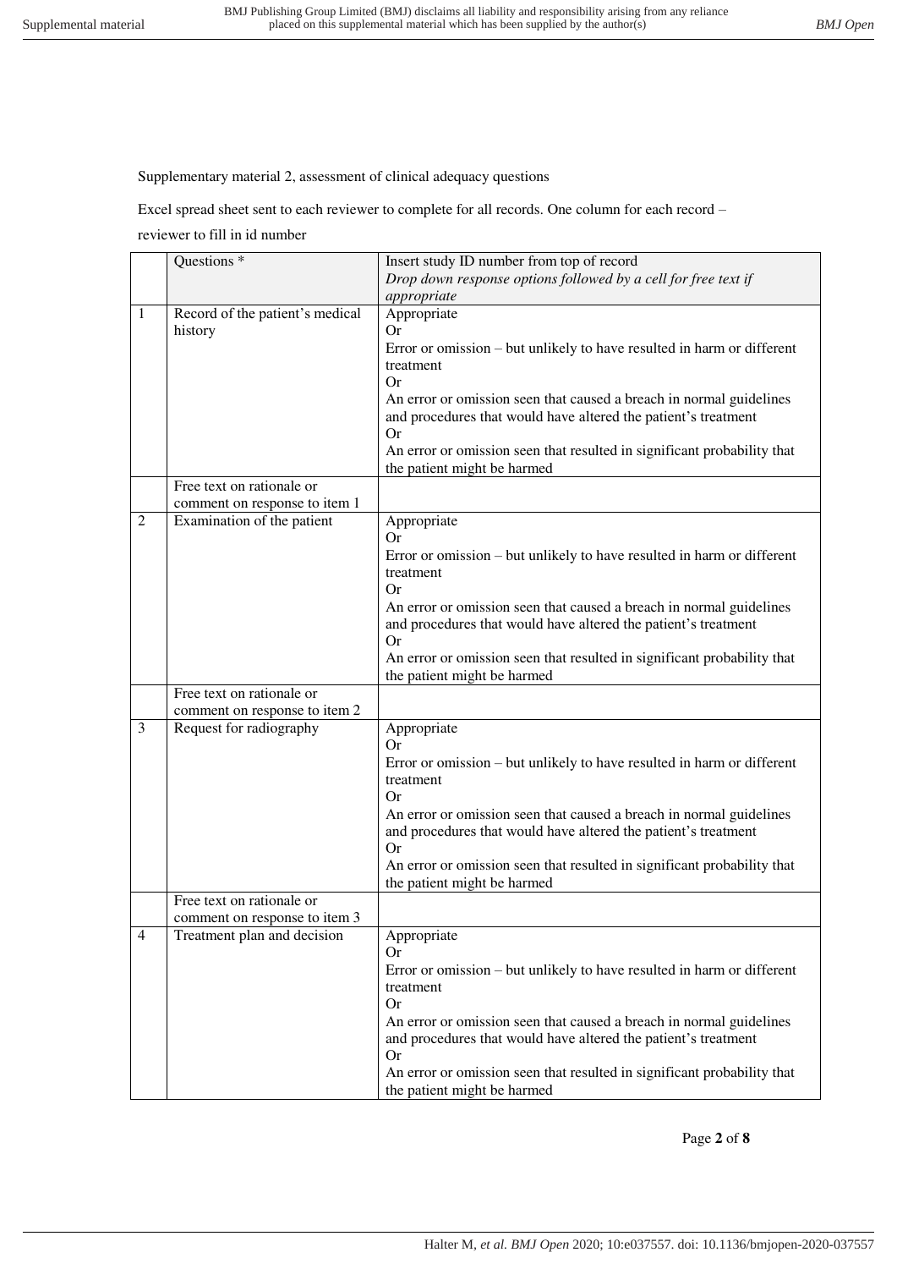Supplementary material 2, assessment of clinical adequacy questions

Excel spread sheet sent to each reviewer to complete for all records. One column for each record – reviewer to fill in id number

|                | Questions <sup>*</sup>          | Insert study ID number from top of record                                                                                             |
|----------------|---------------------------------|---------------------------------------------------------------------------------------------------------------------------------------|
|                |                                 | Drop down response options followed by a cell for free text if                                                                        |
|                |                                 | appropriate                                                                                                                           |
| 1              | Record of the patient's medical | Appropriate                                                                                                                           |
|                | history                         | <b>Or</b>                                                                                                                             |
|                |                                 | Error or omission – but unlikely to have resulted in harm or different                                                                |
|                |                                 | treatment                                                                                                                             |
|                |                                 | Or                                                                                                                                    |
|                |                                 | An error or omission seen that caused a breach in normal guidelines<br>and procedures that would have altered the patient's treatment |
|                |                                 | <b>Or</b>                                                                                                                             |
|                |                                 | An error or omission seen that resulted in significant probability that                                                               |
|                |                                 | the patient might be harmed                                                                                                           |
|                | Free text on rationale or       |                                                                                                                                       |
|                | comment on response to item 1   |                                                                                                                                       |
| $\overline{2}$ | Examination of the patient      | Appropriate                                                                                                                           |
|                |                                 | <b>Or</b>                                                                                                                             |
|                |                                 | Error or omission – but unlikely to have resulted in harm or different                                                                |
|                |                                 | treatment                                                                                                                             |
|                |                                 | Or.                                                                                                                                   |
|                |                                 | An error or omission seen that caused a breach in normal guidelines                                                                   |
|                |                                 | and procedures that would have altered the patient's treatment                                                                        |
|                |                                 | Or                                                                                                                                    |
|                |                                 | An error or omission seen that resulted in significant probability that                                                               |
|                |                                 | the patient might be harmed                                                                                                           |
|                | Free text on rationale or       |                                                                                                                                       |
|                | comment on response to item 2   |                                                                                                                                       |
| 3              | Request for radiography         | Appropriate<br><b>Or</b>                                                                                                              |
|                |                                 | Error or omission – but unlikely to have resulted in harm or different                                                                |
|                |                                 | treatment                                                                                                                             |
|                |                                 | <b>Or</b>                                                                                                                             |
|                |                                 | An error or omission seen that caused a breach in normal guidelines                                                                   |
|                |                                 | and procedures that would have altered the patient's treatment                                                                        |
|                |                                 | <b>Or</b>                                                                                                                             |
|                |                                 | An error or omission seen that resulted in significant probability that                                                               |
|                |                                 | the patient might be harmed                                                                                                           |
|                | Free text on rationale or       |                                                                                                                                       |
|                | comment on response to item 3   |                                                                                                                                       |
| 4              | Treatment plan and decision     | Appropriate<br>Or                                                                                                                     |
|                |                                 | Error or omission – but unlikely to have resulted in harm or different                                                                |
|                |                                 | treatment                                                                                                                             |
|                |                                 | <b>Or</b>                                                                                                                             |
|                |                                 | An error or omission seen that caused a breach in normal guidelines                                                                   |
|                |                                 | and procedures that would have altered the patient's treatment                                                                        |
|                |                                 | <b>Or</b>                                                                                                                             |
|                |                                 | An error or omission seen that resulted in significant probability that                                                               |
|                |                                 | the patient might be harmed                                                                                                           |

Page **2** of **8**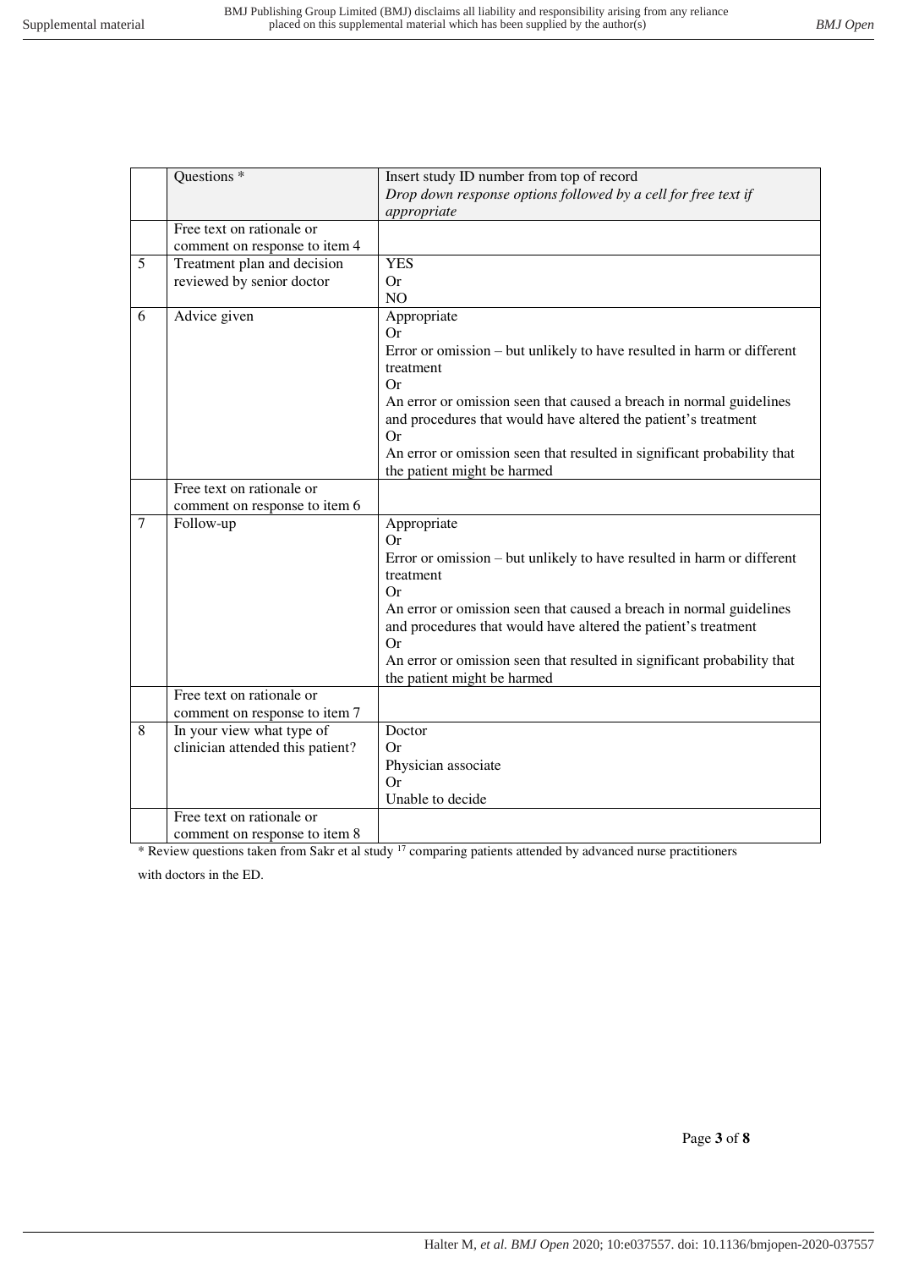|   | Questions <sup>*</sup>           | Insert study ID number from top of record                                                                                |
|---|----------------------------------|--------------------------------------------------------------------------------------------------------------------------|
|   |                                  | Drop down response options followed by a cell for free text if                                                           |
|   |                                  | appropriate                                                                                                              |
|   | Free text on rationale or        |                                                                                                                          |
|   | comment on response to item 4    |                                                                                                                          |
| 5 | Treatment plan and decision      | <b>YES</b>                                                                                                               |
|   | reviewed by senior doctor        | <b>Or</b>                                                                                                                |
|   |                                  | N <sub>O</sub>                                                                                                           |
| 6 | Advice given                     | Appropriate                                                                                                              |
|   |                                  | Or                                                                                                                       |
|   |                                  | Error or omission – but unlikely to have resulted in harm or different                                                   |
|   |                                  | treatment                                                                                                                |
|   |                                  | Or                                                                                                                       |
|   |                                  | An error or omission seen that caused a breach in normal guidelines                                                      |
|   |                                  | and procedures that would have altered the patient's treatment                                                           |
|   |                                  | Or                                                                                                                       |
|   |                                  | An error or omission seen that resulted in significant probability that                                                  |
|   |                                  | the patient might be harmed                                                                                              |
|   | Free text on rationale or        |                                                                                                                          |
|   | comment on response to item 6    |                                                                                                                          |
|   |                                  |                                                                                                                          |
| 7 |                                  |                                                                                                                          |
|   | Follow-up                        | Appropriate<br>Or                                                                                                        |
|   |                                  |                                                                                                                          |
|   |                                  | Error or omission – but unlikely to have resulted in harm or different<br>treatment                                      |
|   |                                  | Or                                                                                                                       |
|   |                                  |                                                                                                                          |
|   |                                  | An error or omission seen that caused a breach in normal guidelines                                                      |
|   |                                  | and procedures that would have altered the patient's treatment<br>Or                                                     |
|   |                                  |                                                                                                                          |
|   |                                  | An error or omission seen that resulted in significant probability that                                                  |
|   | Free text on rationale or        | the patient might be harmed                                                                                              |
|   | comment on response to item 7    |                                                                                                                          |
| 8 |                                  | Doctor                                                                                                                   |
|   | In your view what type of        | Or                                                                                                                       |
|   | clinician attended this patient? |                                                                                                                          |
|   |                                  | Physician associate<br>Or                                                                                                |
|   |                                  | Unable to decide                                                                                                         |
|   | Free text on rationale or        |                                                                                                                          |
|   | comment on response to item 8    | * Review questions taken from Sakr et al study <sup>17</sup> comparing patients attended by advanced nurse practitioners |

with doctors in the ED.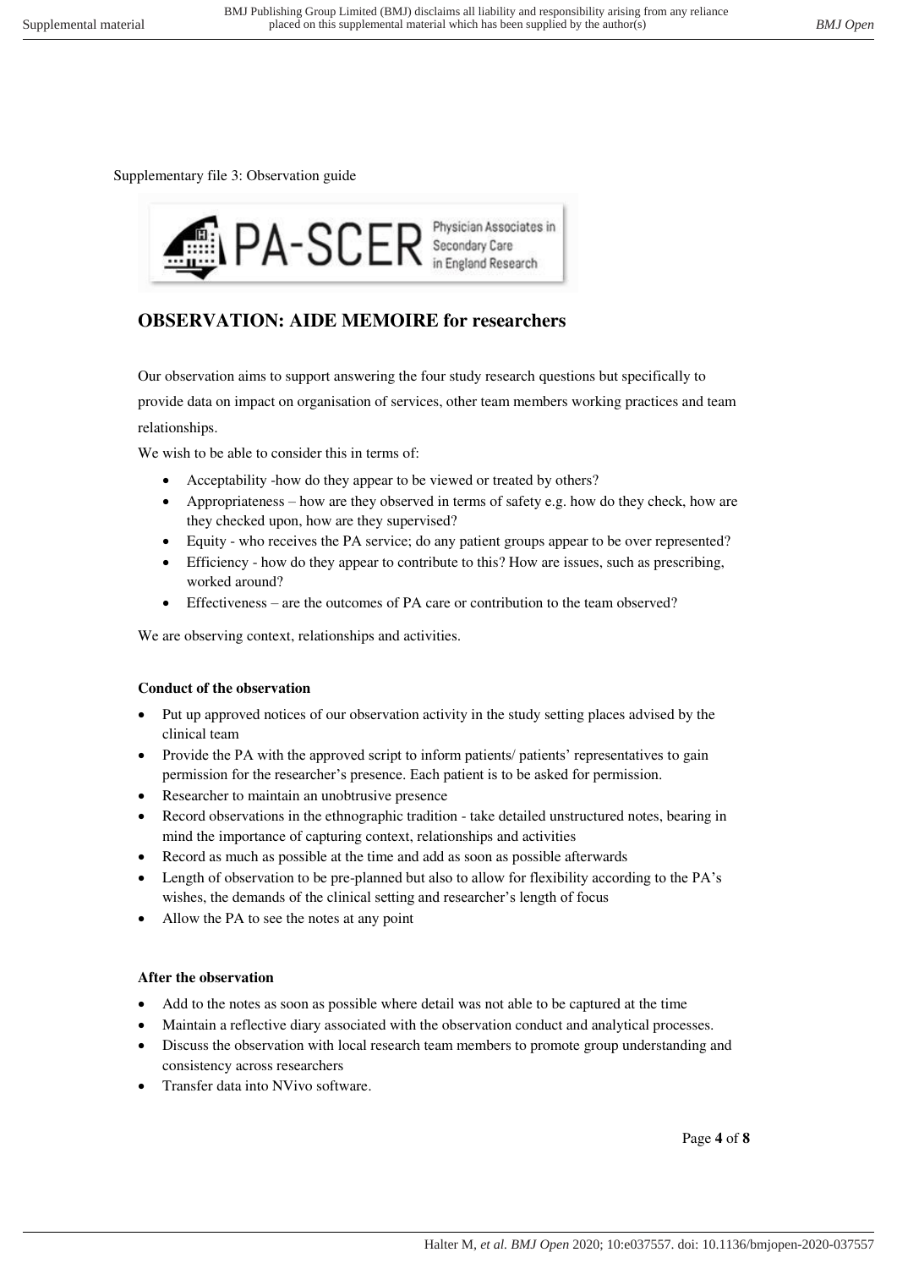Supplementary file 3: Observation guide



# **OBSERVATION: AIDE MEMOIRE for researchers**

Our observation aims to support answering the four study research questions but specifically to provide data on impact on organisation of services, other team members working practices and team relationships.

We wish to be able to consider this in terms of:

- Acceptability -how do they appear to be viewed or treated by others?
- Appropriateness how are they observed in terms of safety e.g. how do they check, how are they checked upon, how are they supervised?
- Equity who receives the PA service; do any patient groups appear to be over represented?
- Efficiency how do they appear to contribute to this? How are issues, such as prescribing, worked around?
- Effectiveness are the outcomes of PA care or contribution to the team observed?

We are observing context, relationships and activities.

# **Conduct of the observation**

- Put up approved notices of our observation activity in the study setting places advised by the clinical team
- Provide the PA with the approved script to inform patients/ patients' representatives to gain permission for the researcher's presence. Each patient is to be asked for permission.
- Researcher to maintain an unobtrusive presence
- Record observations in the ethnographic tradition take detailed unstructured notes, bearing in mind the importance of capturing context, relationships and activities
- Record as much as possible at the time and add as soon as possible afterwards
- Length of observation to be pre-planned but also to allow for flexibility according to the PA's wishes, the demands of the clinical setting and researcher's length of focus
- Allow the PA to see the notes at any point

# **After the observation**

- Add to the notes as soon as possible where detail was not able to be captured at the time
- Maintain a reflective diary associated with the observation conduct and analytical processes.
- Discuss the observation with local research team members to promote group understanding and consistency across researchers
- Transfer data into NVivo software.

Page **4** of **8**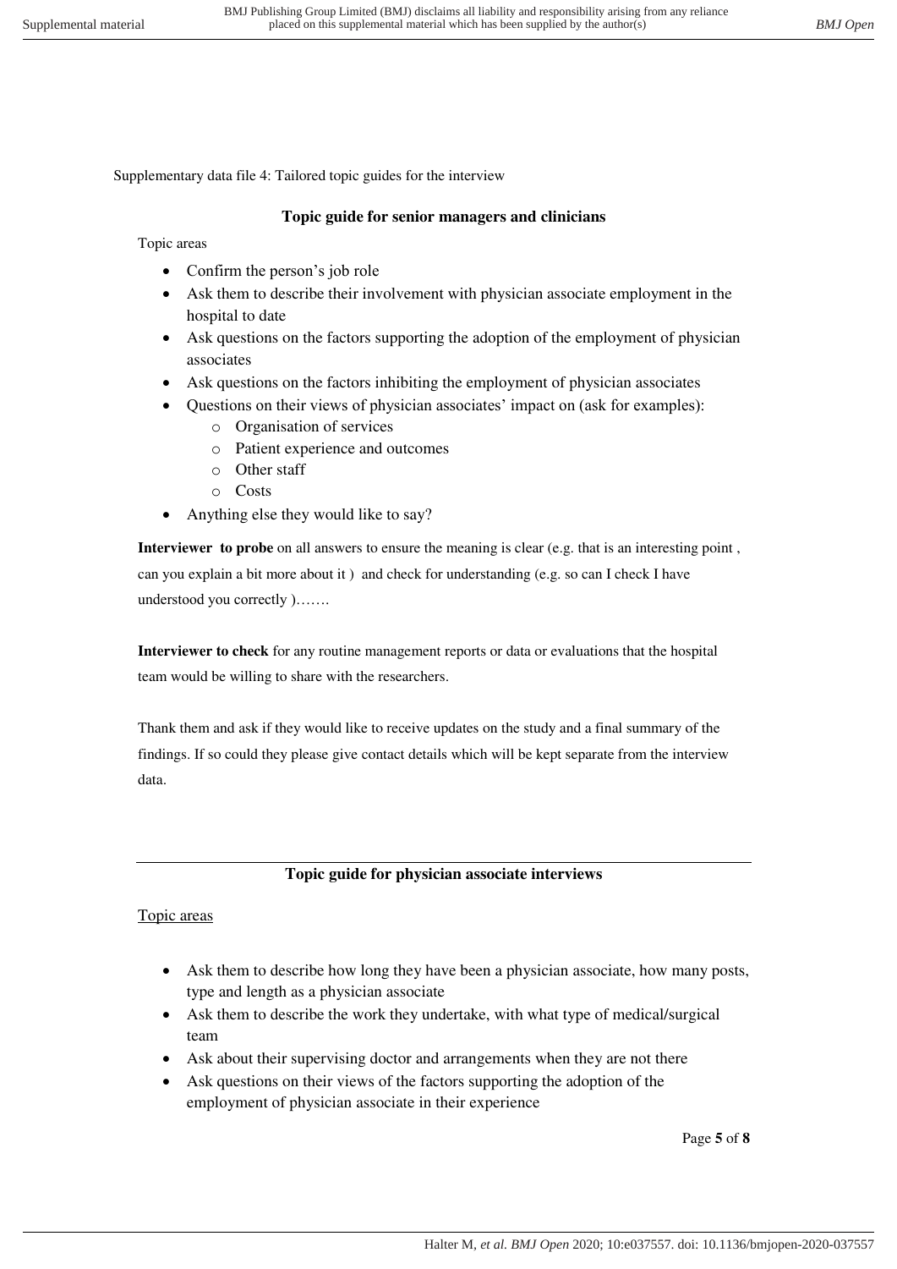Supplementary data file 4: Tailored topic guides for the interview

#### **Topic guide for senior managers and clinicians**

Topic areas

- Confirm the person's job role
- Ask them to describe their involvement with physician associate employment in the hospital to date
- Ask questions on the factors supporting the adoption of the employment of physician associates
- Ask questions on the factors inhibiting the employment of physician associates
- Questions on their views of physician associates' impact on (ask for examples):
	- o Organisation of services
	- o Patient experience and outcomes
	- o Other staff
	- o Costs
- Anything else they would like to say?

**Interviewer to probe** on all answers to ensure the meaning is clear (e.g. that is an interesting point, can you explain a bit more about it ) and check for understanding (e.g. so can I check I have understood you correctly )…….

**Interviewer to check** for any routine management reports or data or evaluations that the hospital team would be willing to share with the researchers.

Thank them and ask if they would like to receive updates on the study and a final summary of the findings. If so could they please give contact details which will be kept separate from the interview data.

#### **Topic guide for physician associate interviews**

#### Topic areas

- Ask them to describe how long they have been a physician associate, how many posts, type and length as a physician associate
- Ask them to describe the work they undertake, with what type of medical/surgical team
- Ask about their supervising doctor and arrangements when they are not there
- Ask questions on their views of the factors supporting the adoption of the employment of physician associate in their experience

Page **5** of **8**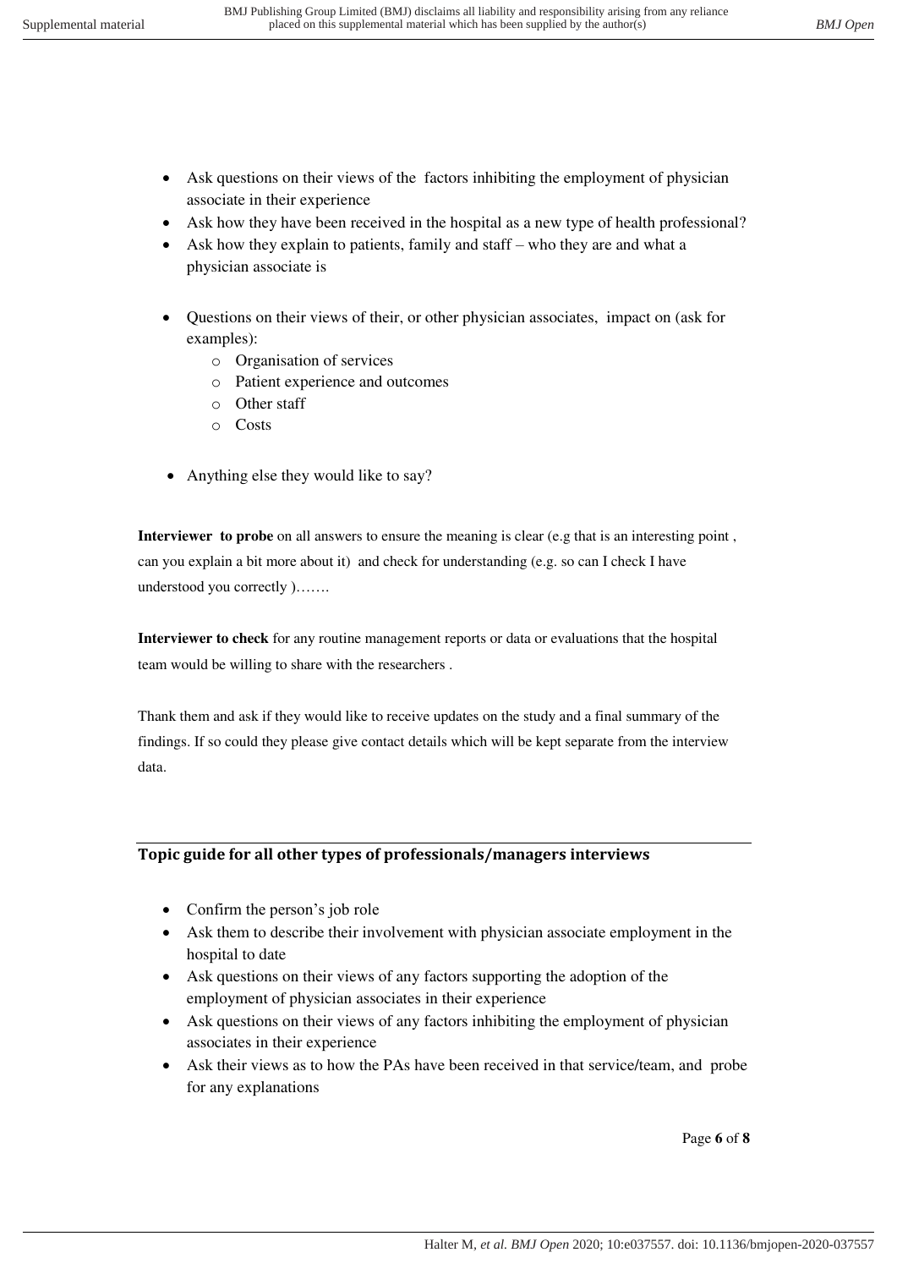- Ask questions on their views of the factors inhibiting the employment of physician associate in their experience
- Ask how they have been received in the hospital as a new type of health professional?
- Ask how they explain to patients, family and staff who they are and what a physician associate is
- Questions on their views of their, or other physician associates, impact on (ask for examples):
	- o Organisation of services
	- o Patient experience and outcomes
	- o Other staff
	- o Costs
- Anything else they would like to say?

**Interviewer to probe** on all answers to ensure the meaning is clear (e.g that is an interesting point, can you explain a bit more about it) and check for understanding (e.g. so can I check I have understood you correctly )…….

**Interviewer to check** for any routine management reports or data or evaluations that the hospital team would be willing to share with the researchers .

Thank them and ask if they would like to receive updates on the study and a final summary of the findings. If so could they please give contact details which will be kept separate from the interview data.

#### **Topic guide for all other types of professionals/managers interviews**

- Confirm the person's job role
- Ask them to describe their involvement with physician associate employment in the hospital to date
- Ask questions on their views of any factors supporting the adoption of the employment of physician associates in their experience
- Ask questions on their views of any factors inhibiting the employment of physician associates in their experience
- Ask their views as to how the PAs have been received in that service/team, and probe for any explanations

Page **6** of **8**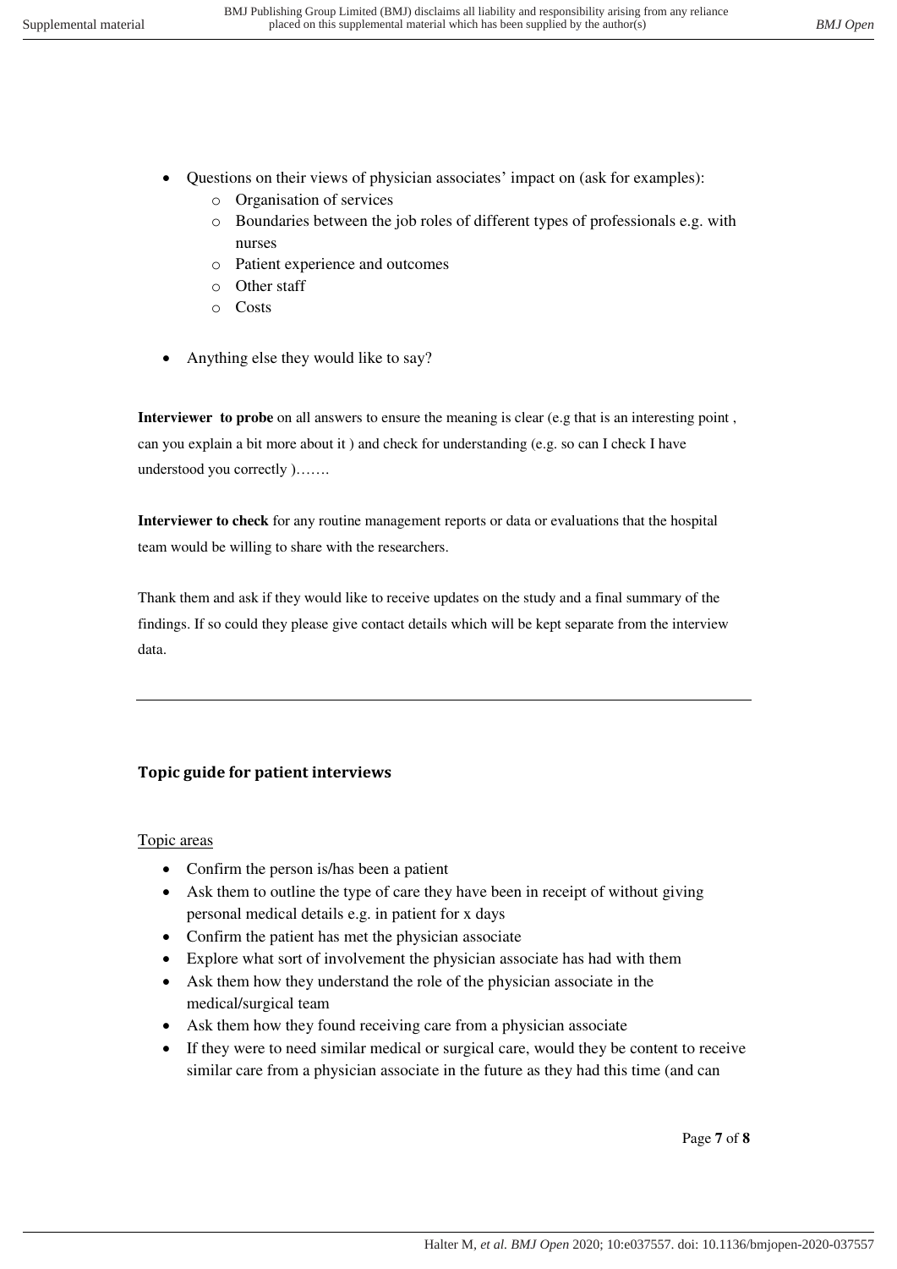- Questions on their views of physician associates' impact on (ask for examples):
	- o Organisation of services
	- o Boundaries between the job roles of different types of professionals e.g. with nurses
	- o Patient experience and outcomes
	- o Other staff
	- o Costs
- Anything else they would like to say?

**Interviewer to probe** on all answers to ensure the meaning is clear (e.g that is an interesting point, can you explain a bit more about it ) and check for understanding (e.g. so can I check I have understood you correctly )…….

**Interviewer to check** for any routine management reports or data or evaluations that the hospital team would be willing to share with the researchers.

Thank them and ask if they would like to receive updates on the study and a final summary of the findings. If so could they please give contact details which will be kept separate from the interview data.

# **Topic guide for patient interviews**

# Topic areas

- Confirm the person is/has been a patient
- Ask them to outline the type of care they have been in receipt of without giving personal medical details e.g. in patient for x days
- Confirm the patient has met the physician associate
- Explore what sort of involvement the physician associate has had with them
- Ask them how they understand the role of the physician associate in the medical/surgical team
- Ask them how they found receiving care from a physician associate
- If they were to need similar medical or surgical care, would they be content to receive similar care from a physician associate in the future as they had this time (and can

Page **7** of **8**